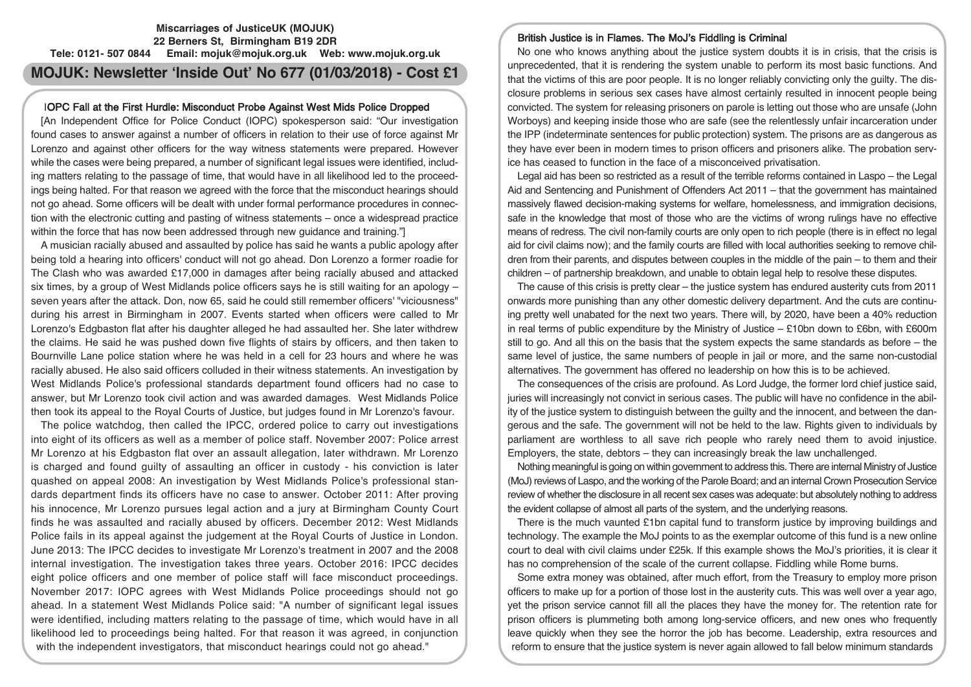# **Miscarriages of JusticeUK (MOJUK) 22 Berners St, Birmingham B19 2DR Tele: 0121- 507 0844 Email: mojuk@mojuk.org.uk Web: www.mojuk.org.uk**

# **MOJUK: Newsletter 'Inside Out' No 677 (01/03/2018) - Cost £1**

# IOPC Fall at the First Hurdle: Misconduct Probe Against West Mids Police Dropped

[An Independent Office for Police Conduct (IOPC) spokesperson said: "Our investigation found cases to answer against a number of officers in relation to their use of force against Mr Lorenzo and against other officers for the way witness statements were prepared. However while the cases were being prepared, a number of significant legal issues were identified, including matters relating to the passage of time, that would have in all likelihood led to the proceedings being halted. For that reason we agreed with the force that the misconduct hearings should not go ahead. Some officers will be dealt with under formal performance procedures in connection with the electronic cutting and pasting of witness statements – once a widespread practice within the force that has now been addressed through new guidance and training."

A musician racially abused and assaulted by police has said he wants a public apology after being told a hearing into officers' conduct will not go ahead. Don Lorenzo a former roadie for The Clash who was awarded £17,000 in damages after being racially abused and attacked six times, by a group of West Midlands police officers says he is still waiting for an apology – seven years after the attack. Don, now 65, said he could still remember officers' "viciousness" during his arrest in Birmingham in 2007. Events started when officers were called to Mr Lorenzo's Edgbaston flat after his daughter alleged he had assaulted her. She later withdrew the claims. He said he was pushed down five flights of stairs by officers, and then taken to Bournville Lane police station where he was held in a cell for 23 hours and where he was racially abused. He also said officers colluded in their witness statements. An investigation by West Midlands Police's professional standards department found officers had no case to answer, but Mr Lorenzo took civil action and was awarded damages. West Midlands Police then took its appeal to the Royal Courts of Justice, but judges found in Mr Lorenzo's favour.

The police watchdog, then called the IPCC, ordered police to carry out investigations into eight of its officers as well as a member of police staff. November 2007: Police arrest Mr Lorenzo at his Edgbaston flat over an assault allegation, later withdrawn. Mr Lorenzo is charged and found guilty of assaulting an officer in custody - his conviction is later quashed on appeal 2008: An investigation by West Midlands Police's professional standards department finds its officers have no case to answer. October 2011: After proving his innocence, Mr Lorenzo pursues legal action and a jury at Birmingham County Court finds he was assaulted and racially abused by officers. December 2012: West Midlands Police fails in its appeal against the judgement at the Royal Courts of Justice in London. June 2013: The IPCC decides to investigate Mr Lorenzo's treatment in 2007 and the 2008 internal investigation. The investigation takes three years. October 2016: IPCC decides eight police officers and one member of police staff will face misconduct proceedings. November 2017: IOPC agrees with West Midlands Police proceedings should not go ahead. In a statement West Midlands Police said: "A number of significant legal issues were identified, including matters relating to the passage of time, which would have in all likelihood led to proceedings being halted. For that reason it was agreed, in conjunction with the independent investigators, that misconduct hearings could not go ahead."

# British Justice is in Flames. The MoJ's Fiddling is Criminal

No one who knows anything about the justice system doubts it is in crisis, that the crisis is unprecedented, that it is rendering the system unable to perform its most basic functions. And that the victims of this are poor people. It is no longer reliably convicting only the guilty. The disclosure problems in serious sex cases have almost certainly resulted in innocent people being convicted. The system for releasing prisoners on parole is letting out those who are unsafe (John Worboys) and keeping inside those who are safe (see the relentlessly unfair incarceration under the IPP (indeterminate sentences for public protection) system. The prisons are as dangerous as they have ever been in modern times to prison officers and prisoners alike. The probation service has ceased to function in the face of a misconceived privatisation.

Legal aid has been so restricted as a result of the terrible reforms contained in Laspo – the Legal Aid and Sentencing and Punishment of Offenders Act 2011 – that the government has maintained massively flawed decision-making systems for welfare, homelessness, and immigration decisions, safe in the knowledge that most of those who are the victims of wrong rulings have no effective means of redress. The civil non-family courts are only open to rich people (there is in effect no legal aid for civil claims now); and the family courts are filled with local authorities seeking to remove children from their parents, and disputes between couples in the middle of the pain – to them and their children – of partnership breakdown, and unable to obtain legal help to resolve these disputes.

The cause of this crisis is pretty clear – the justice system has endured austerity cuts from 2011 onwards more punishing than any other domestic delivery department. And the cuts are continuing pretty well unabated for the next two years. There will, by 2020, have been a 40% reduction in real terms of public expenditure by the Ministry of Justice – £10bn down to £6bn, with £600m still to go. And all this on the basis that the system expects the same standards as before – the same level of justice, the same numbers of people in jail or more, and the same non-custodial alternatives. The government has offered no leadership on how this is to be achieved.

The consequences of the crisis are profound. As Lord Judge, the former lord chief justice said, juries will increasingly not convict in serious cases. The public will have no confidence in the ability of the justice system to distinguish between the guilty and the innocent, and between the dangerous and the safe. The government will not be held to the law. Rights given to individuals by parliament are worthless to all save rich people who rarely need them to avoid injustice. Employers, the state, debtors – they can increasingly break the law unchallenged.

Nothing meaningful is going on within government to address this.There are internal Ministry of Justice (MoJ) reviews of Laspo, and the working of the Parole Board; and an internal Crown Prosecution Service review of whether the disclosure in all recent sex cases was adequate: but absolutely nothing to address the evident collapse of almost all parts of the system, and the underlying reasons.

There is the much vaunted £1bn capital fund to transform justice by improving buildings and technology. The example the MoJ points to as the exemplar outcome of this fund is a new online court to deal with civil claims under £25k. If this example shows the MoJ's priorities, it is clear it has no comprehension of the scale of the current collapse. Fiddling while Rome burns.

Some extra money was obtained, after much effort, from the Treasury to employ more prison officers to make up for a portion of those lost in the austerity cuts. This was well over a year ago, yet the prison service cannot fill all the places they have the money for. The retention rate for prison officers is plummeting both among long-service officers, and new ones who frequently leave quickly when they see the horror the job has become. Leadership, extra resources and reform to ensure that the justice system is never again allowed to fall below minimum standards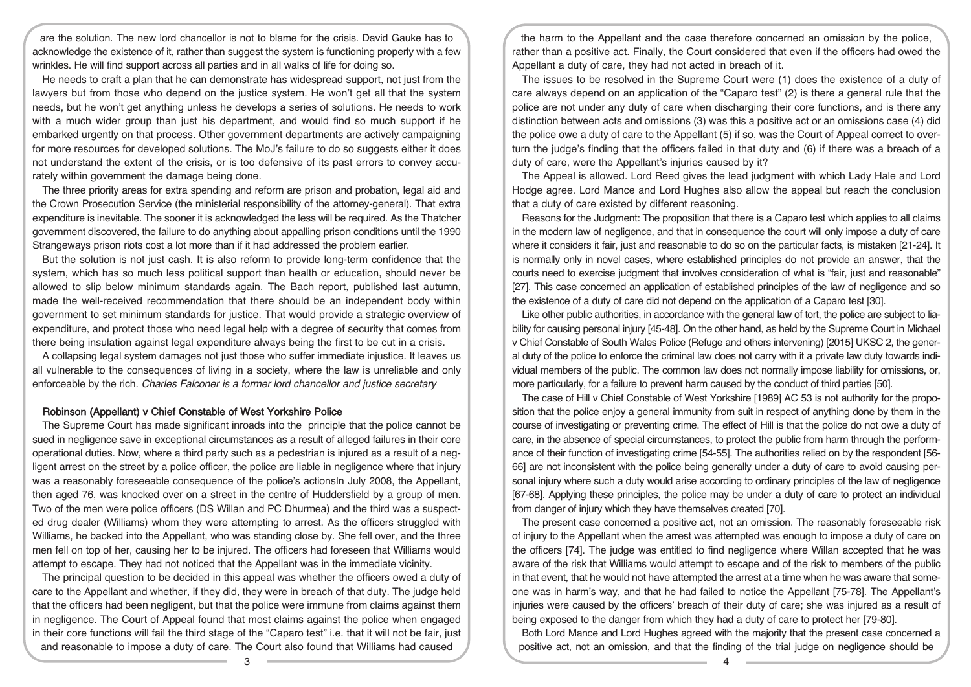are the solution. The new lord chancellor is not to blame for the crisis. David Gauke has to acknowledge the existence of it, rather than suggest the system is functioning properly with a few wrinkles. He will find support across all parties and in all walks of life for doing so.

He needs to craft a plan that he can demonstrate has widespread support, not just from the lawyers but from those who depend on the justice system. He won't get all that the system needs, but he won't get anything unless he develops a series of solutions. He needs to work with a much wider group than just his department, and would find so much support if he embarked urgently on that process. Other government departments are actively campaigning for more resources for developed solutions. The MoJ's failure to do so suggests either it does not understand the extent of the crisis, or is too defensive of its past errors to convey accurately within government the damage being done.

The three priority areas for extra spending and reform are prison and probation, legal aid and the Crown Prosecution Service (the ministerial responsibility of the attorney-general). That extra expenditure is inevitable. The sooner it is acknowledged the less will be required. As the Thatcher government discovered, the failure to do anything about appalling prison conditions until the 1990 Strangeways prison riots cost a lot more than if it had addressed the problem earlier.

But the solution is not just cash. It is also reform to provide long-term confidence that the system, which has so much less political support than health or education, should never be allowed to slip below minimum standards again. The Bach report, published last autumn, made the well-received recommendation that there should be an independent body within government to set minimum standards for justice. That would provide a strategic overview of expenditure, and protect those who need legal help with a degree of security that comes from there being insulation against legal expenditure always being the first to be cut in a crisis.

A collapsing legal system damages not just those who suffer immediate injustice. It leaves us all vulnerable to the consequences of living in a society, where the law is unreliable and only enforceable by the rich. Charles Falconer is <sup>a</sup> former lord chancellor and justice secretary

### Robinson (Appellant) v Chief Constable of West Yorkshire Police

The Supreme Court has made significant inroads into the principle that the police cannot be sued in negligence save in exceptional circumstances as a result of alleged failures in their core operational duties. Now, where a third party such as a pedestrian is injured as a result of a negligent arrest on the street by a police officer, the police are liable in negligence where that injury was a reasonably foreseeable consequence of the police's actionsIn July 2008, the Appellant, then aged 76, was knocked over on a street in the centre of Huddersfield by a group of men. Two of the men were police officers (DS Willan and PC Dhurmea) and the third was a suspected drug dealer (Williams) whom they were attempting to arrest. As the officers struggled with Williams, he backed into the Appellant, who was standing close by. She fell over, and the three men fell on top of her, causing her to be injured. The officers had foreseen that Williams would attempt to escape. They had not noticed that the Appellant was in the immediate vicinity.

The principal question to be decided in this appeal was whether the officers owed a duty of care to the Appellant and whether, if they did, they were in breach of that duty. The judge held that the officers had been negligent, but that the police were immune from claims against them in negligence. The Court of Appeal found that most claims against the police when engaged in their core functions will fail the third stage of the "Caparo test" i.e. that it will not be fair, just and reasonable to impose a duty of care. The Court also found that Williams had caused

the harm to the Appellant and the case therefore concerned an omission by the police, rather than a positive act. Finally, the Court considered that even if the officers had owed the Appellant a duty of care, they had not acted in breach of it.

The issues to be resolved in the Supreme Court were (1) does the existence of a duty of care always depend on an application of the "Caparo test" (2) is there a general rule that the police are not under any duty of care when discharging their core functions, and is there any distinction between acts and omissions (3) was this a positive act or an omissions case (4) did the police owe a duty of care to the Appellant (5) if so, was the Court of Appeal correct to overturn the judge's finding that the officers failed in that duty and (6) if there was a breach of a duty of care, were the Appellant's injuries caused by it?

The Appeal is allowed. Lord Reed gives the lead judgment with which Lady Hale and Lord Hodge agree. Lord Mance and Lord Hughes also allow the appeal but reach the conclusion that a duty of care existed by different reasoning.

Reasons for the Judgment: The proposition that there is a Caparo test which applies to all claims in the modern law of negligence, and that in consequence the court will only impose a duty of care where it considers it fair, just and reasonable to do so on the particular facts, is mistaken [21-24]. It is normally only in novel cases, where established principles do not provide an answer, that the courts need to exercise judgment that involves consideration of what is "fair, just and reasonable" [27]. This case concerned an application of established principles of the law of negligence and so the existence of a duty of care did not depend on the application of a Caparo test [30].

Like other public authorities, in accordance with the general law of tort, the police are subject to liability for causing personal injury [45-48]. On the other hand, as held by the Supreme Court in Michael v Chief Constable of South Wales Police (Refuge and others intervening) [2015] UKSC 2, the general duty of the police to enforce the criminal law does not carry with it a private law duty towards individual members of the public. The common law does not normally impose liability for omissions, or, more particularly, for a failure to prevent harm caused by the conduct of third parties [50].

The case of Hill v Chief Constable of West Yorkshire [1989] AC 53 is not authority for the proposition that the police enjoy a general immunity from suit in respect of anything done by them in the course of investigating or preventing crime. The effect of Hill is that the police do not owe a duty of care, in the absence of special circumstances, to protect the public from harm through the performance of their function of investigating crime [54-55]. The authorities relied on by the respondent [56- 66] are not inconsistent with the police being generally under a duty of care to avoid causing personal injury where such a duty would arise according to ordinary principles of the law of negligence [67-68]. Applying these principles, the police may be under a duty of care to protect an individual from danger of injury which they have themselves created [70].

The present case concerned a positive act, not an omission. The reasonably foreseeable risk of injury to the Appellant when the arrest was attempted was enough to impose a duty of care on the officers [74]. The judge was entitled to find negligence where Willan accepted that he was aware of the risk that Williams would attempt to escape and of the risk to members of the public in that event, that he would not have attempted the arrest at a time when he was aware that someone was in harm's way, and that he had failed to notice the Appellant [75-78]. The Appellant's injuries were caused by the officers' breach of their duty of care; she was injured as a result of being exposed to the danger from which they had a duty of care to protect her [79-80].

Both Lord Mance and Lord Hughes agreed with the majority that the present case concerned a positive act, not an omission, and that the finding of the trial judge on negligence should be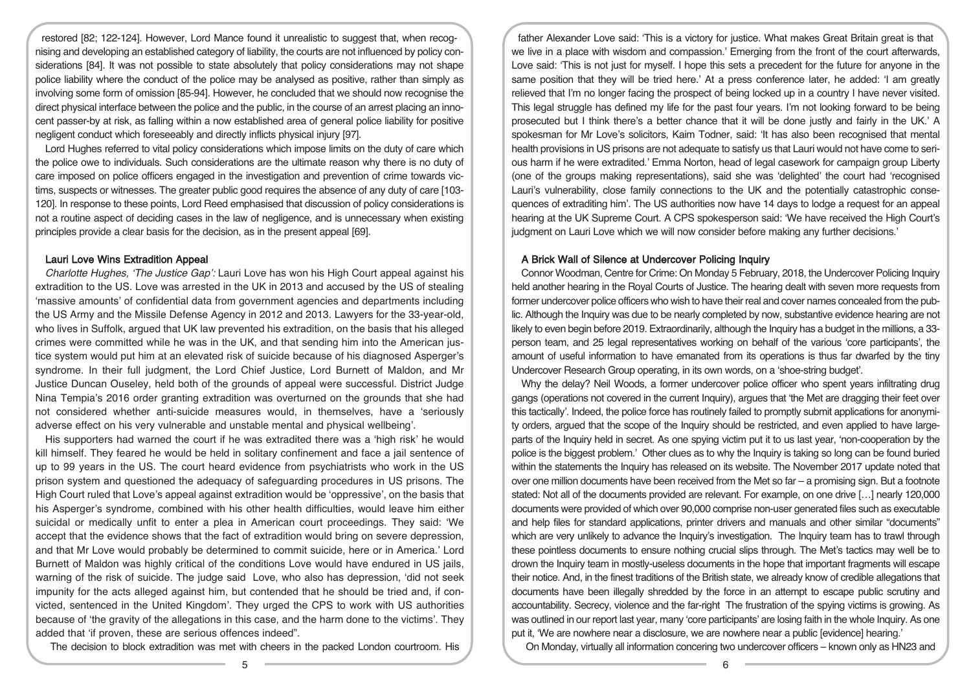restored [82; 122-124]. However, Lord Mance found it unrealistic to suggest that, when recognising and developing an established category of liability, the courts are not influenced by policy considerations [84]. It was not possible to state absolutely that policy considerations may not shape police liability where the conduct of the police may be analysed as positive, rather than simply as involving some form of omission [85-94]. However, he concluded that we should now recognise the direct physical interface between the police and the public, in the course of an arrest placing an innocent passer-by at risk, as falling within a now established area of general police liability for positive negligent conduct which foreseeably and directly inflicts physical injury [97].

Lord Hughes referred to vital policy considerations which impose limits on the duty of care which the police owe to individuals. Such considerations are the ultimate reason why there is no duty of care imposed on police officers engaged in the investigation and prevention of crime towards victims, suspects or witnesses. The greater public good requires the absence of any duty of care [103- 120]. In response to these points, Lord Reed emphasised that discussion of policy considerations is not a routine aspect of deciding cases in the law of negligence, and is unnecessary when existing principles provide a clear basis for the decision, as in the present appeal [69].

### Lauri Love Wins Extradition Appeal

Charlotte Hughes, 'The Justice Gap': Lauri Love has won his High Court appeal against his extradition to the US. Love was arrested in the UK in 2013 and accused by the US of stealing 'massive amounts' of confidential data from government agencies and departments including the US Army and the Missile Defense Agency in 2012 and 2013. Lawyers for the 33-year-old, who lives in Suffolk, argued that UK law prevented his extradition, on the basis that his alleged crimes were committed while he was in the UK, and that sending him into the American justice system would put him at an elevated risk of suicide because of his diagnosed Asperger's syndrome. In their full judgment, the Lord Chief Justice, Lord Burnett of Maldon, and Mr Justice Duncan Ouseley, held both of the grounds of appeal were successful. District Judge Nina Tempia's 2016 order granting extradition was overturned on the grounds that she had not considered whether anti-suicide measures would, in themselves, have a 'seriously adverse effect on his very vulnerable and unstable mental and physical wellbeing'.

His supporters had warned the court if he was extradited there was a 'high risk' he would kill himself. They feared he would be held in solitary confinement and face a jail sentence of up to 99 years in the US. The court heard evidence from psychiatrists who work in the US prison system and questioned the adequacy of safeguarding procedures in US prisons. The High Court ruled that Love's appeal against extradition would be 'oppressive', on the basis that his Asperger's syndrome, combined with his other health difficulties, would leave him either suicidal or medically unfit to enter a plea in American court proceedings. They said: 'We accept that the evidence shows that the fact of extradition would bring on severe depression, and that Mr Love would probably be determined to commit suicide, here or in America.' Lord Burnett of Maldon was highly critical of the conditions Love would have endured in US jails, warning of the risk of suicide. The judge said Love, who also has depression, 'did not seek impunity for the acts alleged against him, but contended that he should be tried and, if convicted, sentenced in the United Kingdom'. They urged the CPS to work with US authorities because of 'the gravity of the allegations in this case, and the harm done to the victims'. They added that 'if proven, these are serious offences indeed".

The decision to block extradition was met with cheers in the packed London courtroom. His

father Alexander Love said: 'This is a victory for justice. What makes Great Britain great is that we live in a place with wisdom and compassion.' Emerging from the front of the court afterwards, Love said: 'This is not just for myself. I hope this sets a precedent for the future for anyone in the same position that they will be tried here.' At a press conference later, he added: 'I am greatly relieved that I'm no longer facing the prospect of being locked up in a country I have never visited. This legal struggle has defined my life for the past four years. I'm not looking forward to be being prosecuted but I think there's a better chance that it will be done justly and fairly in the UK.' A spokesman for Mr Love's solicitors, Kaim Todner, said: 'It has also been recognised that mental health provisions in US prisons are not adequate to satisfy us that Lauri would not have come to serious harm if he were extradited.' Emma Norton, head of legal casework for campaign group Liberty (one of the groups making representations), said she was 'delighted' the court had 'recognised Lauri's vulnerability, close family connections to the UK and the potentially catastrophic consequences of extraditing him'. The US authorities now have 14 days to lodge a request for an appeal hearing at the UK Supreme Court. A CPS spokesperson said: 'We have received the High Court's judgment on Lauri Love which we will now consider before making any further decisions.'

### A Brick Wall of Silence at Undercover Policing Inquiry

Connor Woodman, Centre for Crime: On Monday 5 February, 2018, the Undercover Policing Inquiry held another hearing in the Royal Courts of Justice. The hearing dealt with seven more requests from former undercover police officers who wish to have their real and cover names concealed from the public. Although the Inquiry was due to be nearly completed by now, substantive evidence hearing are not likely to even begin before 2019. Extraordinarily, although the Inquiry has a budget in the millions, a 33 person team, and 25 legal representatives working on behalf of the various 'core participants', the amount of useful information to have emanated from its operations is thus far dwarfed by the tiny Undercover Research Group operating, in its own words, on a 'shoe-string budget'.

Why the delay? Neil Woods, a former undercover police officer who spent years infiltrating drug gangs (operations not covered in the current Inquiry), argues that 'the Met are dragging their feet over this tactically'. Indeed, the police force has routinely failed to promptly submit applications for anonymity orders, argued that the scope of the Inquiry should be restricted, and even applied to have largeparts of the Inquiry held in secret. As one spying victim put it to us last year, 'non-cooperation by the police is the biggest problem.' Other clues as to why the Inquiry is taking so long can be found buried within the statements the Inquiry has released on its website. The November 2017 update noted that over one million documents have been received from the Met so far – a promising sign. But a footnote stated: Not all of the documents provided are relevant. For example, on one drive […] nearly 120,000 documents were provided of which over 90,000 comprise non-user generated files such as executable and help files for standard applications, printer drivers and manuals and other similar "documents" which are very unlikely to advance the Inquiry's investigation. The Inquiry team has to trawl through these pointless documents to ensure nothing crucial slips through. The Met's tactics may well be to drown the Inquiry team in mostly-useless documents in the hope that important fragments will escape their notice. And, in the finest traditions of the British state, we already know of credible allegations that documents have been illegally shredded by the force in an attempt to escape public scrutiny and accountability. Secrecy, violence and the far-right The frustration of the spying victims is growing. As was outlined in our report last year, many 'core participants' are losing faith in the whole Inquiry. As one put it, 'We are nowhere near a disclosure, we are nowhere near a public [evidence] hearing.'

On Monday, virtually all information concering two undercover officers – known only as HN23 and

5 6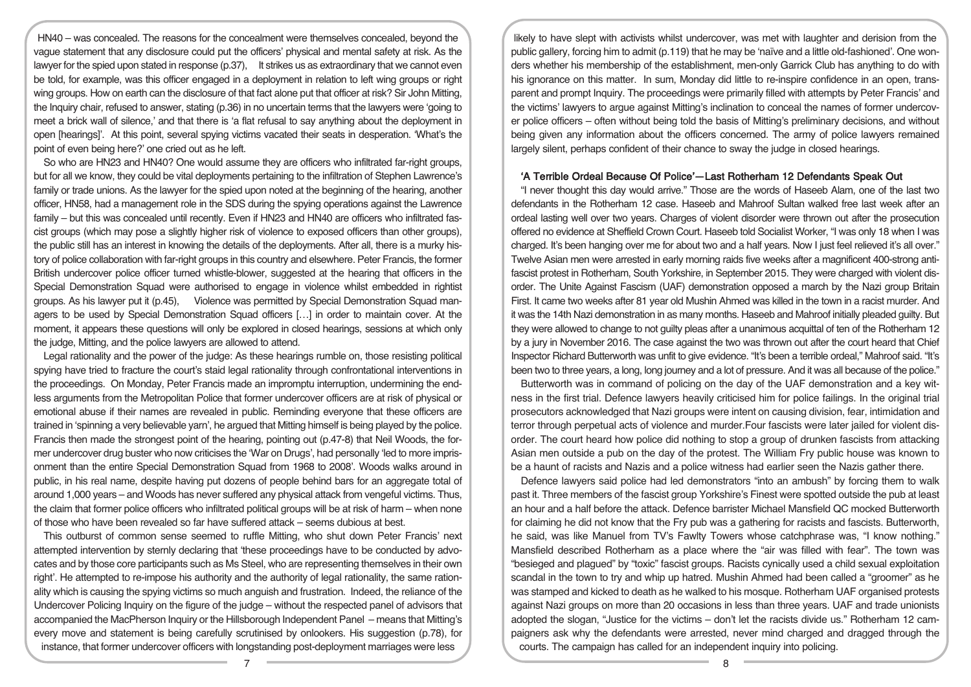HN40 – was concealed. The reasons for the concealment were themselves concealed, beyond the vague statement that any disclosure could put the officers' physical and mental safety at risk. As the lawyer for the spied upon stated in response (p.37), It strikes us as extraordinary that we cannot even be told, for example, was this officer engaged in a deployment in relation to left wing groups or right wing groups. How on earth can the disclosure of that fact alone put that officer at risk? Sir John Mitting, the Inquiry chair, refused to answer, stating (p.36) in no uncertain terms that the lawyers were 'going to meet a brick wall of silence,' and that there is 'a flat refusal to say anything about the deployment in open [hearings]'. At this point, several spying victims vacated their seats in desperation. 'What's the point of even being here?' one cried out as he left.

So who are HN23 and HN40? One would assume they are officers who infiltrated far-right groups, but for all we know, they could be vital deployments pertaining to the infiltration of Stephen Lawrence's family or trade unions. As the lawyer for the spied upon noted at the beginning of the hearing, another officer, HN58, had a management role in the SDS during the spying operations against the Lawrence family – but this was concealed until recently. Even if HN23 and HN40 are officers who infiltrated fascist groups (which may pose a slightly higher risk of violence to exposed officers than other groups), the public still has an interest in knowing the details of the deployments. After all, there is a murky history of police collaboration with far-right groups in this country and elsewhere. Peter Francis, the former British undercover police officer turned whistle-blower, suggested at the hearing that officers in the Special Demonstration Squad were authorised to engage in violence whilst embedded in rightist groups. As his lawyer put it (p.45), Violence was permitted by Special Demonstration Squad managers to be used by Special Demonstration Squad officers […] in order to maintain cover. At the moment, it appears these questions will only be explored in closed hearings, sessions at which only the judge, Mitting, and the police lawyers are allowed to attend.

Legal rationality and the power of the judge: As these hearings rumble on, those resisting political spying have tried to fracture the court's staid legal rationality through confrontational interventions in the proceedings. On Monday, Peter Francis made an impromptu interruption, undermining the endless arguments from the Metropolitan Police that former undercover officers are at risk of physical or emotional abuse if their names are revealed in public. Reminding everyone that these officers are trained in 'spinning a very believable yarn', he argued that Mitting himself is being played by the police. Francis then made the strongest point of the hearing, pointing out (p.47-8) that Neil Woods, the former undercover drug buster who now criticises the 'War on Drugs', had personally 'led to more imprisonment than the entire Special Demonstration Squad from 1968 to 2008'. Woods walks around in public, in his real name, despite having put dozens of people behind bars for an aggregate total of around 1,000 years – and Woods has never suffered any physical attack from vengeful victims. Thus, the claim that former police officers who infiltrated political groups will be at risk of harm – when none of those who have been revealed so far have suffered attack – seems dubious at best.

This outburst of common sense seemed to ruffle Mitting, who shut down Peter Francis' next attempted intervention by sternly declaring that 'these proceedings have to be conducted by advocates and by those core participants such as Ms Steel, who are representing themselves in their own right'. He attempted to re-impose his authority and the authority of legal rationality, the same rationality which is causing the spying victims so much anguish and frustration. Indeed, the reliance of the Undercover Policing Inquiry on the figure of the judge – without the respected panel of advisors that accompanied the MacPherson Inquiry or the Hillsborough Independent Panel – means that Mitting's every move and statement is being carefully scrutinised by onlookers. His suggestion (p.78), for instance, that former undercover officers with longstanding post-deployment marriages were less

likely to have slept with activists whilst undercover, was met with laughter and derision from the public gallery, forcing him to admit (p.119) that he may be 'naïve and a little old-fashioned'. One wonders whether his membership of the establishment, men-only Garrick Club has anything to do with his ignorance on this matter. In sum, Monday did little to re-inspire confidence in an open, transparent and prompt Inquiry. The proceedings were primarily filled with attempts by Peter Francis' and the victims' lawyers to argue against Mitting's inclination to conceal the names of former undercover police officers – often without being told the basis of Mitting's preliminary decisions, and without being given any information about the officers concerned. The army of police lawyers remained largely silent, perhaps confident of their chance to sway the judge in closed hearings.

#### 'A Terrible Ordeal Because Of Police'—Last Rotherham 12 Defendants Speak Out

"I never thought this day would arrive." Those are the words of Haseeb Alam, one of the last two defendants in the Rotherham 12 case. Haseeb and Mahroof Sultan walked free last week after an ordeal lasting well over two years. Charges of violent disorder were thrown out after the prosecution offered no evidence at Sheffield Crown Court. Haseeb told Socialist Worker, "I was only 18 when I was charged. It's been hanging over me for about two and a half years. Now I just feel relieved it's all over." Twelve Asian men were arrested in early morning raids five weeks after a magnificent 400-strong antifascist protest in Rotherham, South Yorkshire, in September 2015. They were charged with violent disorder. The Unite Against Fascism (UAF) demonstration opposed a march by the Nazi group Britain First. It came two weeks after 81 year old Mushin Ahmed was killed in the town in a racist murder. And it was the 14th Nazi demonstration in as many months. Haseeb and Mahroof initially pleaded guilty. But they were allowed to change to not guilty pleas after a unanimous acquittal of ten of the Rotherham 12 by a jury in November 2016. The case against the two was thrown out after the court heard that Chief Inspector Richard Butterworth was unfit to give evidence. "It's been a terrible ordeal," Mahroof said. "It's been two to three years, a long, long journey and a lot of pressure. And it was all because of the police."

Butterworth was in command of policing on the day of the UAF demonstration and a key witness in the first trial. Defence lawyers heavily criticised him for police failings. In the original trial prosecutors acknowledged that Nazi groups were intent on causing division, fear, intimidation and terror through perpetual acts of violence and murder.Four fascists were later jailed for violent disorder. The court heard how police did nothing to stop a group of drunken fascists from attacking Asian men outside a pub on the day of the protest. The William Fry public house was known to be a haunt of racists and Nazis and a police witness had earlier seen the Nazis gather there.

Defence lawyers said police had led demonstrators "into an ambush" by forcing them to walk past it. Three members of the fascist group Yorkshire's Finest were spotted outside the pub at least an hour and a half before the attack. Defence barrister Michael Mansfield QC mocked Butterworth for claiming he did not know that the Fry pub was a gathering for racists and fascists. Butterworth, he said, was like Manuel from TV's Fawlty Towers whose catchphrase was, "I know nothing." Mansfield described Rotherham as a place where the "air was filled with fear". The town was "besieged and plagued" by "toxic" fascist groups. Racists cynically used a child sexual exploitation scandal in the town to try and whip up hatred. Mushin Ahmed had been called a "groomer" as he was stamped and kicked to death as he walked to his mosque. Rotherham UAF organised protests against Nazi groups on more than 20 occasions in less than three years. UAF and trade unionists adopted the slogan, "Justice for the victims – don't let the racists divide us." Rotherham 12 campaigners ask why the defendants were arrested, never mind charged and dragged through the courts. The campaign has called for an independent inquiry into policing.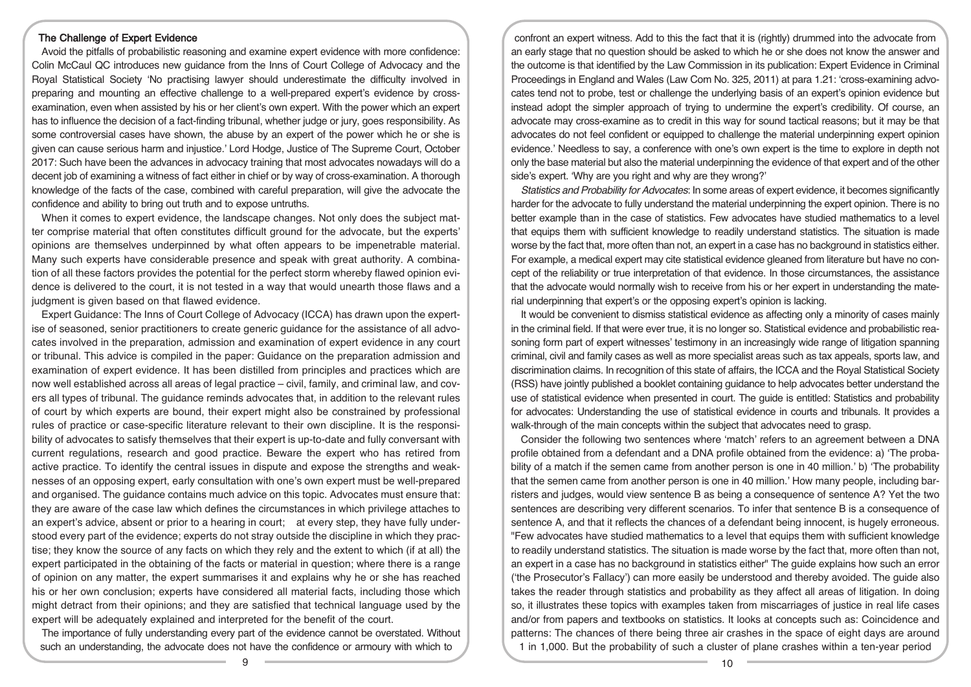# The Challenge of Expert Evidence

Avoid the pitfalls of probabilistic reasoning and examine expert evidence with more confidence: Colin McCaul QC introduces new guidance from the Inns of Court College of Advocacy and the Royal Statistical Society 'No practising lawyer should underestimate the difficulty involved in preparing and mounting an effective challenge to a well-prepared expert's evidence by crossexamination, even when assisted by his or her client's own expert. With the power which an expert has to influence the decision of a fact-finding tribunal, whether judge or jury, goes responsibility. As some controversial cases have shown, the abuse by an expert of the power which he or she is given can cause serious harm and injustice.' Lord Hodge, Justice of The Supreme Court, October 2017: Such have been the advances in advocacy training that most advocates nowadays will do a decent job of examining a witness of fact either in chief or by way of cross-examination. A thorough knowledge of the facts of the case, combined with careful preparation, will give the advocate the confidence and ability to bring out truth and to expose untruths.

When it comes to expert evidence, the landscape changes. Not only does the subject matter comprise material that often constitutes difficult ground for the advocate, but the experts' opinions are themselves underpinned by what often appears to be impenetrable material. Many such experts have considerable presence and speak with great authority. A combination of all these factors provides the potential for the perfect storm whereby flawed opinion evidence is delivered to the court, it is not tested in a way that would unearth those flaws and a judgment is given based on that flawed evidence.

Expert Guidance: The Inns of Court College of Advocacy (ICCA) has drawn upon the expertise of seasoned, senior practitioners to create generic guidance for the assistance of all advocates involved in the preparation, admission and examination of expert evidence in any court or tribunal. This advice is compiled in the paper: Guidance on the preparation admission and examination of expert evidence. It has been distilled from principles and practices which are now well established across all areas of legal practice – civil, family, and criminal law, and covers all types of tribunal. The guidance reminds advocates that, in addition to the relevant rules of court by which experts are bound, their expert might also be constrained by professional rules of practice or case-specific literature relevant to their own discipline. It is the responsibility of advocates to satisfy themselves that their expert is up-to-date and fully conversant with current regulations, research and good practice. Beware the expert who has retired from active practice. To identify the central issues in dispute and expose the strengths and weaknesses of an opposing expert, early consultation with one's own expert must be well-prepared and organised. The guidance contains much advice on this topic. Advocates must ensure that: they are aware of the case law which defines the circumstances in which privilege attaches to an expert's advice, absent or prior to a hearing in court; at every step, they have fully understood every part of the evidence; experts do not stray outside the discipline in which they practise; they know the source of any facts on which they rely and the extent to which (if at all) the expert participated in the obtaining of the facts or material in question; where there is a range of opinion on any matter, the expert summarises it and explains why he or she has reached his or her own conclusion; experts have considered all material facts, including those which might detract from their opinions; and they are satisfied that technical language used by the expert will be adequately explained and interpreted for the benefit of the court.

The importance of fully understanding every part of the evidence cannot be overstated. Without such an understanding, the advocate does not have the confidence or armoury with which to

confront an expert witness. Add to this the fact that it is (rightly) drummed into the advocate from an early stage that no question should be asked to which he or she does not know the answer and the outcome is that identified by the Law Commission in its publication: Expert Evidence in Criminal Proceedings in England and Wales (Law Com No. 325, 2011) at para 1.21: 'cross-examining advocates tend not to probe, test or challenge the underlying basis of an expert's opinion evidence but instead adopt the simpler approach of trying to undermine the expert's credibility. Of course, an advocate may cross-examine as to credit in this way for sound tactical reasons; but it may be that advocates do not feel confident or equipped to challenge the material underpinning expert opinion evidence.' Needless to say, a conference with one's own expert is the time to explore in depth not only the base material but also the material underpinning the evidence of that expert and of the other side's expert. 'Why are you right and why are they wrong?'

Statistics and Probability for Advocates: In some areas of expert evidence, it becomes significantly harder for the advocate to fully understand the material underpinning the expert opinion. There is no better example than in the case of statistics. Few advocates have studied mathematics to a level that equips them with sufficient knowledge to readily understand statistics. The situation is made worse by the fact that, more often than not, an expert in a case has no background in statistics either. For example, a medical expert may cite statistical evidence gleaned from literature but have no concept of the reliability or true interpretation of that evidence. In those circumstances, the assistance that the advocate would normally wish to receive from his or her expert in understanding the material underpinning that expert's or the opposing expert's opinion is lacking.

It would be convenient to dismiss statistical evidence as affecting only a minority of cases mainly in the criminal field. If that were ever true, it is no longer so. Statistical evidence and probabilistic reasoning form part of expert witnesses' testimony in an increasingly wide range of litigation spanning criminal, civil and family cases as well as more specialist areas such as tax appeals, sports law, and discrimination claims. In recognition of this state of affairs, the ICCA and the Royal Statistical Society (RSS) have jointly published a booklet containing guidance to help advocates better understand the use of statistical evidence when presented in court. The guide is entitled: Statistics and probability for advocates: Understanding the use of statistical evidence in courts and tribunals. It provides a walk-through of the main concepts within the subject that advocates need to grasp.

Consider the following two sentences where 'match' refers to an agreement between a DNA profile obtained from a defendant and a DNA profile obtained from the evidence: a) 'The probability of a match if the semen came from another person is one in 40 million.' b) 'The probability that the semen came from another person is one in 40 million.' How many people, including barristers and judges, would view sentence B as being a consequence of sentence A? Yet the two sentences are describing very different scenarios. To infer that sentence B is a consequence of sentence A, and that it reflects the chances of a defendant being innocent, is hugely erroneous. "Few advocates have studied mathematics to a level that equips them with sufficient knowledge to readily understand statistics. The situation is made worse by the fact that, more often than not, an expert in a case has no background in statistics either" The guide explains how such an error ('the Prosecutor's Fallacy') can more easily be understood and thereby avoided. The guide also takes the reader through statistics and probability as they affect all areas of litigation. In doing so, it illustrates these topics with examples taken from miscarriages of justice in real life cases and/or from papers and textbooks on statistics. It looks at concepts such as: Coincidence and patterns: The chances of there being three air crashes in the space of eight days are around 1 in 1,000. But the probability of such a cluster of plane crashes within a ten-year period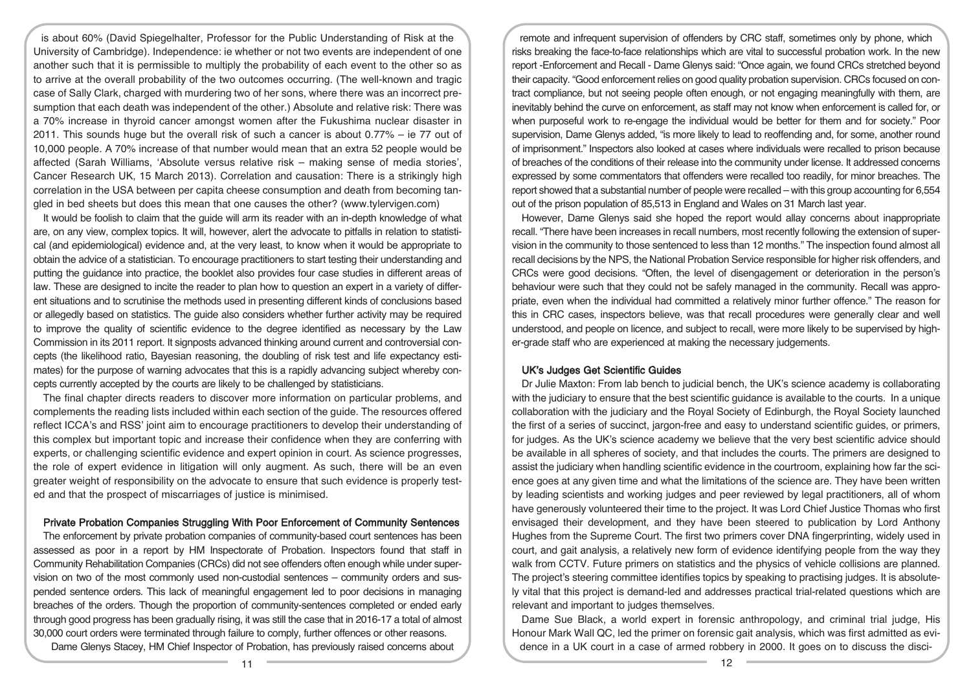is about 60% (David Spiegelhalter, Professor for the Public Understanding of Risk at the University of Cambridge). Independence: ie whether or not two events are independent of one another such that it is permissible to multiply the probability of each event to the other so as to arrive at the overall probability of the two outcomes occurring. (The well-known and tragic case of Sally Clark, charged with murdering two of her sons, where there was an incorrect presumption that each death was independent of the other.) Absolute and relative risk: There was a 70% increase in thyroid cancer amongst women after the Fukushima nuclear disaster in 2011. This sounds huge but the overall risk of such a cancer is about 0.77% – ie 77 out of 10,000 people. A 70% increase of that number would mean that an extra 52 people would be affected (Sarah Williams, 'Absolute versus relative risk – making sense of media stories', Cancer Research UK, 15 March 2013). Correlation and causation: There is a strikingly high correlation in the USA between per capita cheese consumption and death from becoming tangled in bed sheets but does this mean that one causes the other? (www.tylervigen.com)

It would be foolish to claim that the guide will arm its reader with an in-depth knowledge of what are, on any view, complex topics. It will, however, alert the advocate to pitfalls in relation to statistical (and epidemiological) evidence and, at the very least, to know when it would be appropriate to obtain the advice of a statistician. To encourage practitioners to start testing their understanding and putting the guidance into practice, the booklet also provides four case studies in different areas of law. These are designed to incite the reader to plan how to question an expert in a variety of different situations and to scrutinise the methods used in presenting different kinds of conclusions based or allegedly based on statistics. The guide also considers whether further activity may be required to improve the quality of scientific evidence to the degree identified as necessary by the Law Commission in its 2011 report. It signposts advanced thinking around current and controversial concepts (the likelihood ratio, Bayesian reasoning, the doubling of risk test and life expectancy estimates) for the purpose of warning advocates that this is a rapidly advancing subject whereby concepts currently accepted by the courts are likely to be challenged by statisticians.

The final chapter directs readers to discover more information on particular problems, and complements the reading lists included within each section of the guide. The resources offered reflect ICCA's and RSS' joint aim to encourage practitioners to develop their understanding of this complex but important topic and increase their confidence when they are conferring with experts, or challenging scientific evidence and expert opinion in court. As science progresses, the role of expert evidence in litigation will only augment. As such, there will be an even greater weight of responsibility on the advocate to ensure that such evidence is properly tested and that the prospect of miscarriages of justice is minimised.

## Private Probation Companies Struggling With Poor Enforcement of Community Sentences

The enforcement by private probation companies of community-based court sentences has been assessed as poor in a report by HM Inspectorate of Probation. Inspectors found that staff in Community Rehabilitation Companies (CRCs) did not see offenders often enough while under supervision on two of the most commonly used non-custodial sentences – community orders and suspended sentence orders. This lack of meaningful engagement led to poor decisions in managing breaches of the orders. Though the proportion of community-sentences completed or ended early through good progress has been gradually rising, it was still the case that in 2016-17 a total of almost 30,000 court orders were terminated through failure to comply, further offences or other reasons.

Dame Glenys Stacey, HM Chief Inspector of Probation, has previously raised concerns about

remote and infrequent supervision of offenders by CRC staff, sometimes only by phone, which risks breaking the face-to-face relationships which are vital to successful probation work. In the new report -Enforcement and Recall - Dame Glenys said: "Once again, we found CRCs stretched beyond their capacity. "Good enforcement relies on good quality probation supervision. CRCs focused on contract compliance, but not seeing people often enough, or not engaging meaningfully with them, are inevitably behind the curve on enforcement, as staff may not know when enforcement is called for, or when purposeful work to re-engage the individual would be better for them and for society." Poor supervision, Dame Glenys added, "is more likely to lead to reoffending and, for some, another round of imprisonment." Inspectors also looked at cases where individuals were recalled to prison because of breaches of the conditions of their release into the community under license. It addressed concerns expressed by some commentators that offenders were recalled too readily, for minor breaches. The report showed that a substantial number of people were recalled – with this group accounting for 6,554 out of the prison population of 85,513 in England and Wales on 31 March last year.

However, Dame Glenys said she hoped the report would allay concerns about inappropriate recall. "There have been increases in recall numbers, most recently following the extension of supervision in the community to those sentenced to less than 12 months." The inspection found almost all recall decisions by the NPS, the National Probation Service responsible for higher risk offenders, and CRCs were good decisions. "Often, the level of disengagement or deterioration in the person's behaviour were such that they could not be safely managed in the community. Recall was appropriate, even when the individual had committed a relatively minor further offence." The reason for this in CRC cases, inspectors believe, was that recall procedures were generally clear and well understood, and people on licence, and subject to recall, were more likely to be supervised by higher-grade staff who are experienced at making the necessary judgements.

# UK's Judges Get Scientific Guides

Dr Julie Maxton: From lab bench to judicial bench, the UK's science academy is collaborating with the judiciary to ensure that the best scientific guidance is available to the courts. In a unique collaboration with the judiciary and the Royal Society of Edinburgh, the Royal Society launched the first of a series of succinct, jargon-free and easy to understand scientific guides, or primers, for judges. As the UK's science academy we believe that the very best scientific advice should be available in all spheres of society, and that includes the courts. The primers are designed to assist the judiciary when handling scientific evidence in the courtroom, explaining how far the science goes at any given time and what the limitations of the science are. They have been written by leading scientists and working judges and peer reviewed by legal practitioners, all of whom have generously volunteered their time to the project. It was Lord Chief Justice Thomas who first envisaged their development, and they have been steered to publication by Lord Anthony Hughes from the Supreme Court. The first two primers cover DNA fingerprinting, widely used in court, and gait analysis, a relatively new form of evidence identifying people from the way they walk from CCTV. Future primers on statistics and the physics of vehicle collisions are planned. The project's steering committee identifies topics by speaking to practising judges. It is absolutely vital that this project is demand-led and addresses practical trial-related questions which are relevant and important to judges themselves.

Dame Sue Black, a world expert in forensic anthropology, and criminal trial judge, His Honour Mark Wall QC, led the primer on forensic gait analysis, which was first admitted as evidence in a UK court in a case of armed robbery in 2000. It goes on to discuss the disci-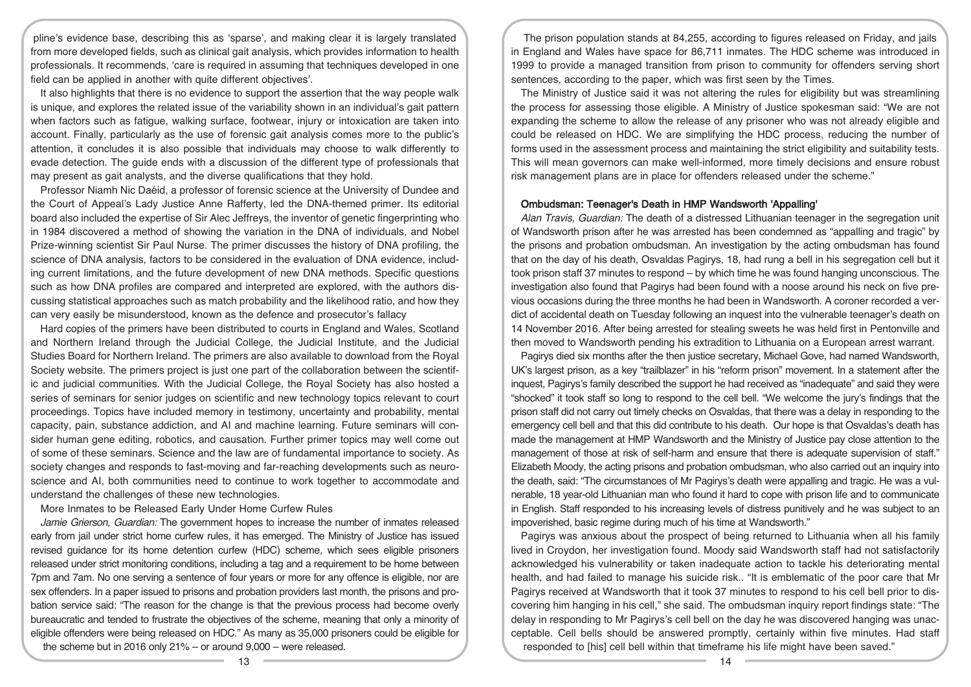pline's evidence base, describing this as 'sparse', and making clear it is largely translated from more developed fields, such as clinical gait analysis, which provides information to health professionals. It recommends, 'care is required in assuming that techniques developed in one field can be applied in another with quite different objectives'.

It also highlights that there is no evidence to support the assertion that the way people walk is unique, and explores the related issue of the variability shown in an individual's gait pattern when factors such as fatigue, walking surface, footwear, injury or intoxication are taken into account. Finally, particularly as the use of forensic gait analysis comes more to the public's attention, it concludes it is also possible that individuals may choose to walk differently to evade detection. The guide ends with a discussion of the different type of professionals that may present as gait analysts, and the diverse qualifications that they hold.

Professor Niamh Nic Daéid, a professor of forensic science at the University of Dundee and the Court of Appeal's Lady Justice Anne Rafferty, led the DNA-themed primer. Its editorial board also included the expertise of Sir Alec Jeffreys, the inventor of genetic fingerprinting who in 1984 discovered a method of showing the variation in the DNA of individuals, and Nobel Prize-winning scientist Sir Paul Nurse. The primer discusses the history of DNA profiling, the science of DNA analysis, factors to be considered in the evaluation of DNA evidence, including current limitations, and the future development of new DNA methods. Specific questions such as how DNA profiles are compared and interpreted are explored, with the authors discussing statistical approaches such as match probability and the likelihood ratio, and how they can very easily be misunderstood, known as the defence and prosecutor's fallacy

Hard copies of the primers have been distributed to courts in England and Wales, Scotland and Northern Ireland through the Judicial College, the Judicial Institute, and the Judicial Studies Board for Northern Ireland. The primers are also available to download from the Royal Society website. The primers project is just one part of the collaboration between the scientific and judicial communities. With the Judicial College, the Royal Society has also hosted a series of seminars for senior judges on scientific and new technology topics relevant to court proceedings. Topics have included memory in testimony, uncertainty and probability, mental capacity, pain, substance addiction, and AI and machine learning. Future seminars will consider human gene editing, robotics, and causation. Further primer topics may well come out of some of these seminars. Science and the law are of fundamental importance to society. As society changes and responds to fast-moving and far-reaching developments such as neuroscience and AI, both communities need to continue to work together to accommodate and understand the challenges of these new technologies.

More Inmates to be Released Early Under Home Curfew Rules

Jamie Grierson, Guardian: The government hopes to increase the number of inmates released early from jail under strict home curfew rules, it has emerged. The Ministry of Justice has issued revised guidance for its home detention curfew (HDC) scheme, which sees eligible prisoners released under strict monitoring conditions, including a tag and a requirement to be home between 7pm and 7am. No one serving a sentence of four years or more for any offence is eligible, nor are sex offenders. In a paper issued to prisons and probation providers last month, the prisons and probation service said: "The reason for the change is that the previous process had become overly bureaucratic and tended to frustrate the objectives of the scheme, meaning that only a minority of eligible offenders were being released on HDC." As many as 35,000 prisoners could be eligible for

the scheme but in 2016 only 21% – or around 9,000 – were released.

The prison population stands at 84,255, according to figures released on Friday, and jails in England and Wales have space for 86,711 inmates. The HDC scheme was introduced in 1999 to provide a managed transition from prison to community for offenders serving short sentences, according to the paper, which was first seen by the Times.

The Ministry of Justice said it was not altering the rules for eligibility but was streamlining the process for assessing those eligible. A Ministry of Justice spokesman said: "We are not expanding the scheme to allow the release of any prisoner who was not already eligible and could be released on HDC. We are simplifying the HDC process, reducing the number of forms used in the assessment process and maintaining the strict eligibility and suitability tests. This will mean governors can make well-informed, more timely decisions and ensure robust risk management plans are in place for offenders released under the scheme."

# Ombudsman: Teenager's Death in HMP Wandsworth 'Appalling'

Alan Travis, Guardian: The death of a distressed Lithuanian teenager in the segregation unit of Wandsworth prison after he was arrested has been condemned as "appalling and tragic" by the prisons and probation ombudsman. An investigation by the acting ombudsman has found that on the day of his death, Osvaldas Pagirys, 18, had rung a bell in his segregation cell but it took prison staff 37 minutes to respond – by which time he was found hanging unconscious. The investigation also found that Pagirys had been found with a noose around his neck on five previous occasions during the three months he had been in Wandsworth. A coroner recorded a verdict of accidental death on Tuesday following an inquest into the vulnerable teenager's death on 14 November 2016. After being arrested for stealing sweets he was held first in Pentonville and then moved to Wandsworth pending his extradition to Lithuania on a European arrest warrant.

Pagirys died six months after the then justice secretary, Michael Gove, had named Wandsworth, UK's largest prison, as a key "trailblazer" in his "reform prison" movement. In a statement after the inquest, Pagirys's family described the support he had received as "inadequate" and said they were "shocked" it took staff so long to respond to the cell bell. "We welcome the jury's findings that the prison staff did not carry out timely checks on Osvaldas, that there was a delay in responding to the emergency cell bell and that this did contribute to his death. Our hope is that Osvaldas's death has made the management at HMP Wandsworth and the Ministry of Justice pay close attention to the management of those at risk of self-harm and ensure that there is adequate supervision of staff." Elizabeth Moody, the acting prisons and probation ombudsman, who also carried out an inquiry into the death, said: "The circumstances of Mr Pagirys's death were appalling and tragic. He was a vulnerable, 18 year-old Lithuanian man who found it hard to cope with prison life and to communicate in English. Staff responded to his increasing levels of distress punitively and he was subject to an impoverished, basic regime during much of his time at Wandsworth."

Pagirys was anxious about the prospect of being returned to Lithuania when all his family lived in Croydon, her investigation found. Moody said Wandsworth staff had not satisfactorily acknowledged his vulnerability or taken inadequate action to tackle his deteriorating mental health, and had failed to manage his suicide risk.. "It is emblematic of the poor care that Mr Pagirys received at Wandsworth that it took 37 minutes to respond to his cell bell prior to discovering him hanging in his cell," she said. The ombudsman inquiry report findings state: "The delay in responding to Mr Pagirys's cell bell on the day he was discovered hanging was unacceptable. Cell bells should be answered promptly, certainly within five minutes. Had staff responded to [his] cell bell within that timeframe his life might have been saved."